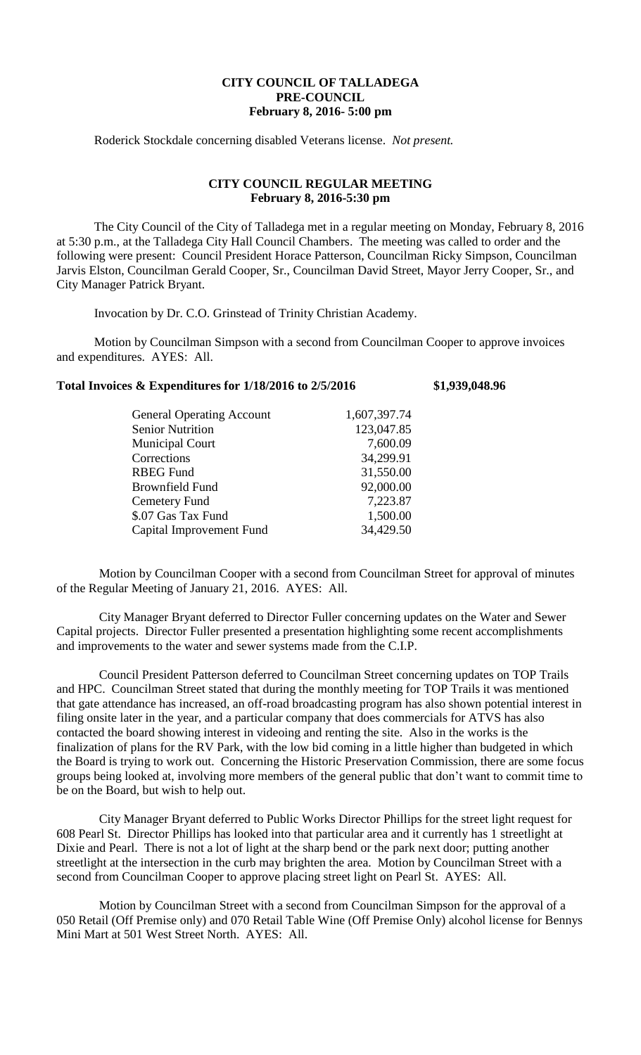## **CITY COUNCIL OF TALLADEGA PRE-COUNCIL February 8, 2016- 5:00 pm**

Roderick Stockdale concerning disabled Veterans license. *Not present.*

## **CITY COUNCIL REGULAR MEETING February 8, 2016-5:30 pm**

The City Council of the City of Talladega met in a regular meeting on Monday, February 8, 2016 at 5:30 p.m., at the Talladega City Hall Council Chambers. The meeting was called to order and the following were present: Council President Horace Patterson, Councilman Ricky Simpson, Councilman Jarvis Elston, Councilman Gerald Cooper, Sr., Councilman David Street, Mayor Jerry Cooper, Sr., and City Manager Patrick Bryant.

Invocation by Dr. C.O. Grinstead of Trinity Christian Academy.

Motion by Councilman Simpson with a second from Councilman Cooper to approve invoices and expenditures. AYES: All.

## **Total Invoices & Expenditures for 1/18/2016 to 2/5/2016 \$1,939,048.96**

| <b>General Operating Account</b> | 1,607,397.74 |
|----------------------------------|--------------|
| <b>Senior Nutrition</b>          | 123,047.85   |
| <b>Municipal Court</b>           | 7,600.09     |
| Corrections                      | 34,299.91    |
| <b>RBEG Fund</b>                 | 31,550.00    |
| Brownfield Fund                  | 92,000.00    |
| Cemetery Fund                    | 7,223.87     |
| \$.07 Gas Tax Fund               | 1,500.00     |
| Capital Improvement Fund         | 34,429.50    |
|                                  |              |

Motion by Councilman Cooper with a second from Councilman Street for approval of minutes of the Regular Meeting of January 21, 2016. AYES: All.

City Manager Bryant deferred to Director Fuller concerning updates on the Water and Sewer Capital projects. Director Fuller presented a presentation highlighting some recent accomplishments and improvements to the water and sewer systems made from the C.I.P.

Council President Patterson deferred to Councilman Street concerning updates on TOP Trails and HPC. Councilman Street stated that during the monthly meeting for TOP Trails it was mentioned that gate attendance has increased, an off-road broadcasting program has also shown potential interest in filing onsite later in the year, and a particular company that does commercials for ATVS has also contacted the board showing interest in videoing and renting the site. Also in the works is the finalization of plans for the RV Park, with the low bid coming in a little higher than budgeted in which the Board is trying to work out. Concerning the Historic Preservation Commission, there are some focus groups being looked at, involving more members of the general public that don't want to commit time to be on the Board, but wish to help out.

City Manager Bryant deferred to Public Works Director Phillips for the street light request for 608 Pearl St. Director Phillips has looked into that particular area and it currently has 1 streetlight at Dixie and Pearl. There is not a lot of light at the sharp bend or the park next door; putting another streetlight at the intersection in the curb may brighten the area. Motion by Councilman Street with a second from Councilman Cooper to approve placing street light on Pearl St. AYES: All.

Motion by Councilman Street with a second from Councilman Simpson for the approval of a 050 Retail (Off Premise only) and 070 Retail Table Wine (Off Premise Only) alcohol license for Bennys Mini Mart at 501 West Street North. AYES: All.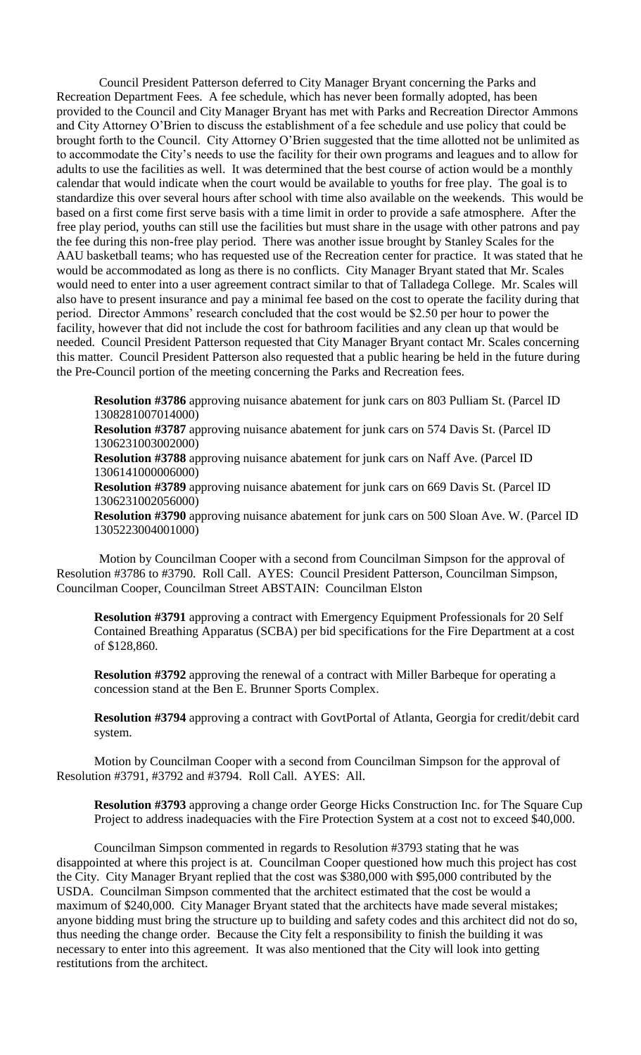Council President Patterson deferred to City Manager Bryant concerning the Parks and Recreation Department Fees. A fee schedule, which has never been formally adopted, has been provided to the Council and City Manager Bryant has met with Parks and Recreation Director Ammons and City Attorney O'Brien to discuss the establishment of a fee schedule and use policy that could be brought forth to the Council. City Attorney O'Brien suggested that the time allotted not be unlimited as to accommodate the City's needs to use the facility for their own programs and leagues and to allow for adults to use the facilities as well. It was determined that the best course of action would be a monthly calendar that would indicate when the court would be available to youths for free play. The goal is to standardize this over several hours after school with time also available on the weekends. This would be based on a first come first serve basis with a time limit in order to provide a safe atmosphere. After the free play period, youths can still use the facilities but must share in the usage with other patrons and pay the fee during this non-free play period. There was another issue brought by Stanley Scales for the AAU basketball teams; who has requested use of the Recreation center for practice. It was stated that he would be accommodated as long as there is no conflicts. City Manager Bryant stated that Mr. Scales would need to enter into a user agreement contract similar to that of Talladega College. Mr. Scales will also have to present insurance and pay a minimal fee based on the cost to operate the facility during that period. Director Ammons' research concluded that the cost would be \$2.50 per hour to power the facility, however that did not include the cost for bathroom facilities and any clean up that would be needed. Council President Patterson requested that City Manager Bryant contact Mr. Scales concerning this matter. Council President Patterson also requested that a public hearing be held in the future during the Pre-Council portion of the meeting concerning the Parks and Recreation fees.

**Resolution #3786** approving nuisance abatement for junk cars on 803 Pulliam St. (Parcel ID 1308281007014000)

**Resolution #3787** approving nuisance abatement for junk cars on 574 Davis St. (Parcel ID 1306231003002000)

**Resolution #3788** approving nuisance abatement for junk cars on Naff Ave. (Parcel ID 1306141000006000)

**Resolution #3789** approving nuisance abatement for junk cars on 669 Davis St. (Parcel ID 1306231002056000)

**Resolution #3790** approving nuisance abatement for junk cars on 500 Sloan Ave. W. (Parcel ID 1305223004001000)

Motion by Councilman Cooper with a second from Councilman Simpson for the approval of Resolution #3786 to #3790. Roll Call. AYES: Council President Patterson, Councilman Simpson, Councilman Cooper, Councilman Street ABSTAIN: Councilman Elston

**Resolution #3791** approving a contract with Emergency Equipment Professionals for 20 Self Contained Breathing Apparatus (SCBA) per bid specifications for the Fire Department at a cost of \$128,860.

**Resolution #3792** approving the renewal of a contract with Miller Barbeque for operating a concession stand at the Ben E. Brunner Sports Complex.

**Resolution #3794** approving a contract with GovtPortal of Atlanta, Georgia for credit/debit card system.

Motion by Councilman Cooper with a second from Councilman Simpson for the approval of Resolution #3791, #3792 and #3794. Roll Call. AYES: All.

**Resolution #3793** approving a change order George Hicks Construction Inc. for The Square Cup Project to address inadequacies with the Fire Protection System at a cost not to exceed \$40,000.

Councilman Simpson commented in regards to Resolution #3793 stating that he was disappointed at where this project is at. Councilman Cooper questioned how much this project has cost the City. City Manager Bryant replied that the cost was \$380,000 with \$95,000 contributed by the USDA. Councilman Simpson commented that the architect estimated that the cost be would a maximum of \$240,000. City Manager Bryant stated that the architects have made several mistakes; anyone bidding must bring the structure up to building and safety codes and this architect did not do so, thus needing the change order. Because the City felt a responsibility to finish the building it was necessary to enter into this agreement. It was also mentioned that the City will look into getting restitutions from the architect.